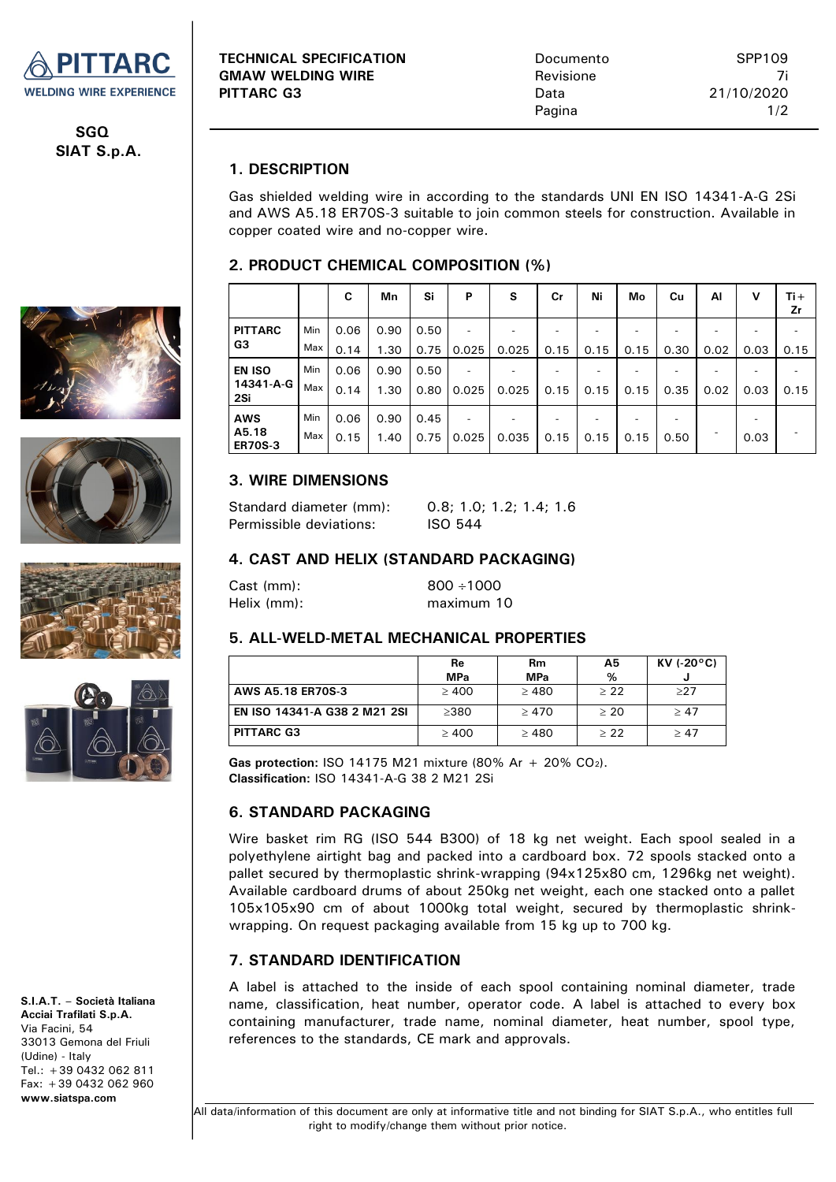

**SGQ SIAT S.p.A.**









**S.I.A.T. – Società Italiana Acciai Trafilati S.p.A.** Via Facini, 54 33013 Gemona del Friuli (Udine) - Italy Tel.: +39 0432 062 811 Fax: +39 0432 062 960 **www.siatspa.com**

## **1. DESCRIPTION**

Gas shielded welding wire in according to the standards UNI EN ISO 14341-A-G 2Si and AWS A5.18 ER70S-3 suitable to join common steels for construction. Available in copper coated wire and no-copper wire.

### **2. PRODUCT CHEMICAL COMPOSITION (%)**

|                         |     | C    | Mn   | Si   | P     | s     | Cr   | Ni   | Mo   | Cu   | Al   | v    | $Ti +$<br>Zr |
|-------------------------|-----|------|------|------|-------|-------|------|------|------|------|------|------|--------------|
| <b>PITTARC</b>          | Min | 0.06 | 0.90 | 0.50 |       |       |      |      |      |      |      |      |              |
| G3                      | Max | 0.14 | 1.30 | 0.75 | 0.025 | 0.025 | 0.15 | 0.15 | 0.15 | 0.30 | 0.02 | 0.03 | 0.15         |
| <b>EN ISO</b>           | Min | 0.06 | 0.90 | 0.50 |       |       |      |      |      |      |      |      |              |
| 14341-A-G<br>2Si        | Max | 0.14 | 1.30 | 0.80 | 0.025 | 0.025 | 0.15 | 0.15 | 0.15 | 0.35 | 0.02 | 0.03 | 0.15         |
| <b>AWS</b>              | Min | 0.06 | 0.90 | 0.45 |       |       |      |      |      |      |      |      |              |
| A5.18<br><b>ER70S-3</b> | Max | 0.15 | 1.40 | 0.75 | 0.025 | 0.035 | 0.15 | 0.15 | 0.15 | 0.50 |      | 0.03 |              |

## **3. WIRE DIMENSIONS**

| Standard diameter (mm): | 0.8:1.0:1.2:1.4:1.6 |
|-------------------------|---------------------|
| Permissible deviations: | ISO 544             |

#### **4. CAST AND HELIX (STANDARD PACKAGING)**

| Cast (mm):  | $800 \div 1000$ |
|-------------|-----------------|
| Helix (mm): | maximum 10      |

#### **5. ALL-WELD-METAL MECHANICAL PROPERTIES**

|                              | Re<br><b>MPa</b> | <b>Rm</b><br><b>MPa</b> | Α5<br>% | $KV$ (-20 $°C$ ) |  |
|------------------------------|------------------|-------------------------|---------|------------------|--|
| AWS A5.18 ER70S-3            | >400             | >480                    | > 22    | >27              |  |
| EN ISO 14341-A G38 2 M21 2SI | >380             | >470                    | > 20    | >47              |  |
| <b>PITTARC G3</b>            | >400             | >480                    | >22     | >47              |  |

**Gas protection: ISO 14175 M21 mixture (80% Ar + 20% CO<sub>2</sub>). Classification:** ISO 14341-A-G 38 2 M21 2Si

## **6. STANDARD PACKAGING**

Wire basket rim RG (ISO 544 B300) of 18 kg net weight. Each spool sealed in a polyethylene airtight bag and packed into a cardboard box. 72 spools stacked onto a pallet secured by thermoplastic shrink-wrapping (94x125x80 cm, 1296kg net weight). Available cardboard drums of about 250kg net weight, each one stacked onto a pallet 105x105x90 cm of about 1000kg total weight, secured by thermoplastic shrinkwrapping. On request packaging available from 15 kg up to 700 kg.

## **7. STANDARD IDENTIFICATION**

A label is attached to the inside of each spool containing nominal diameter, trade name, classification, heat number, operator code. A label is attached to every box containing manufacturer, trade name, nominal diameter, heat number, spool type, references to the standards, CE mark and approvals.

 All data/information of this document are only at informative title and not binding for SIAT S.p.A., who entitles full right to modify/change them without prior notice.